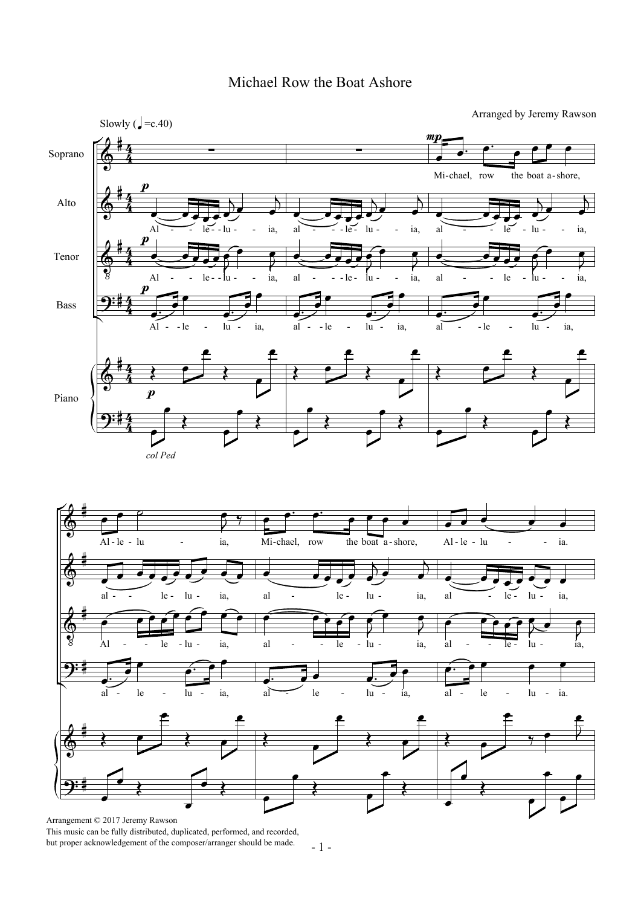

## Michael Row the Boat Ashore

This music can be fully distributed, duplicated, performed, and recorded, but proper acknowledgement of the composer/arranger should be made.  $\overline{\phantom{a}}$  -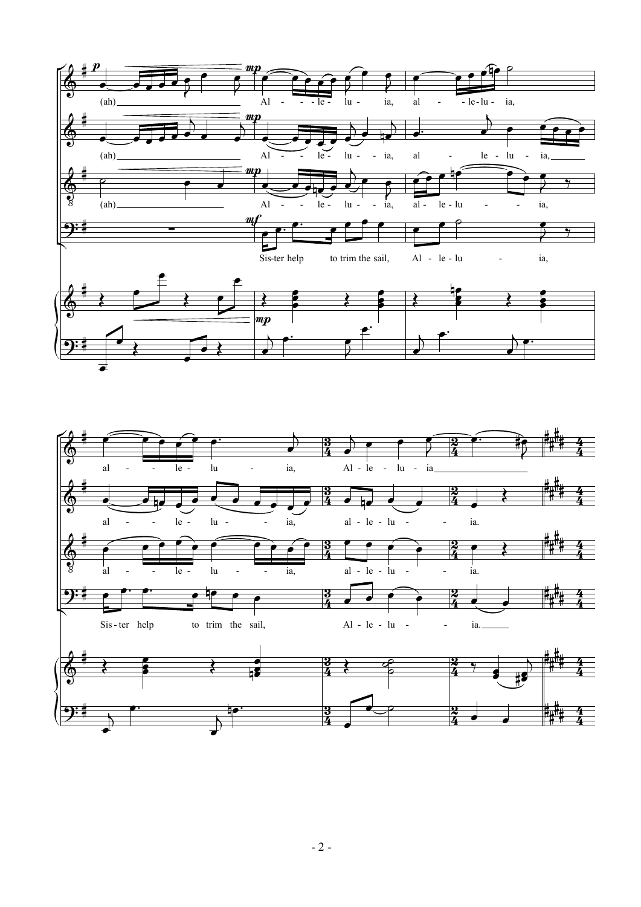

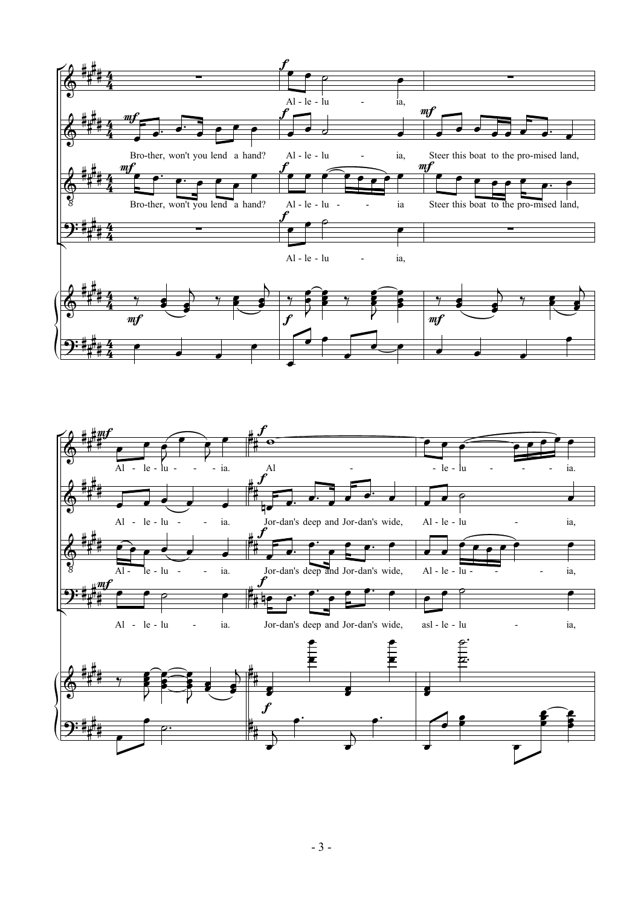

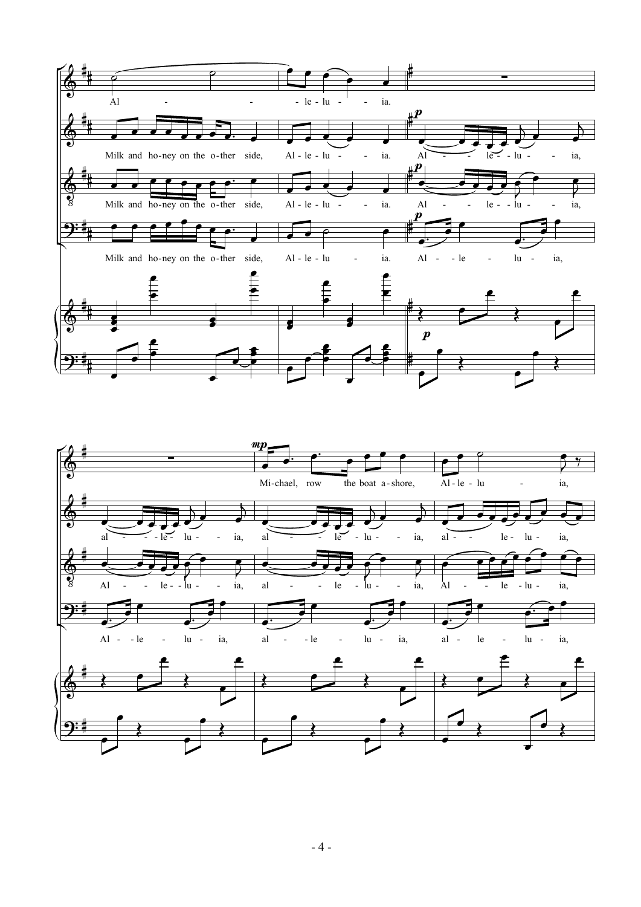